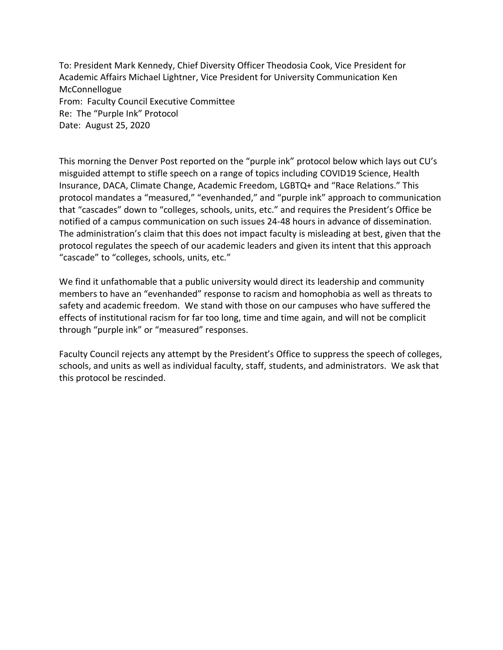To: President Mark Kennedy, Chief Diversity Officer Theodosia Cook, Vice President for Academic Affairs Michael Lightner, Vice President for University Communication Ken McConnellogue From: Faculty Council Executive Committee Re: The "Purple Ink" Protocol Date: August 25, 2020

This morning the Denver Post reported on the "purple ink" protocol below which lays out CU's misguided attempt to stifle speech on a range of topics including COVID19 Science, Health Insurance, DACA, Climate Change, Academic Freedom, LGBTQ+ and "Race Relations." This protocol mandates a "measured," "evenhanded," and "purple ink" approach to communication that "cascades" down to "colleges, schools, units, etc." and requires the President's Office be notified of a campus communication on such issues 24-48 hours in advance of dissemination. The administration's claim that this does not impact faculty is misleading at best, given that the protocol regulates the speech of our academic leaders and given its intent that this approach "cascade" to "colleges, schools, units, etc."

We find it unfathomable that a public university would direct its leadership and community members to have an "evenhanded" response to racism and homophobia as well as threats to safety and academic freedom. We stand with those on our campuses who have suffered the effects of institutional racism for far too long, time and time again, and will not be complicit through "purple ink" or "measured" responses.

Faculty Council rejects any attempt by the President's Office to suppress the speech of colleges, schools, and units as well as individual faculty, staff, students, and administrators. We ask that this protocol be rescinded.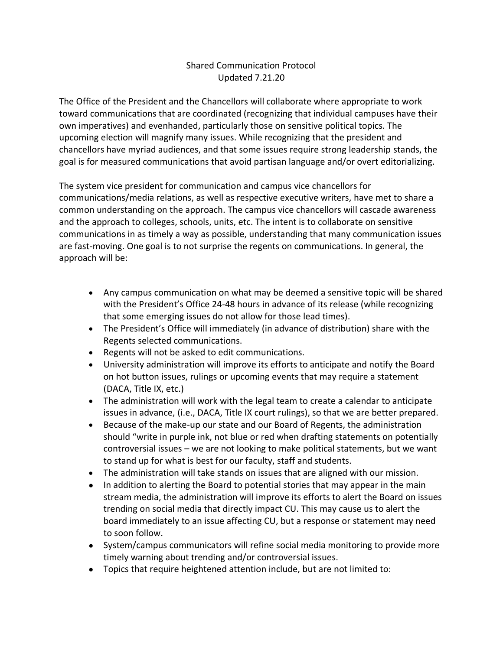## Shared Communication Protocol Updated 7.21.20

The Office of the President and the Chancellors will collaborate where appropriate to work toward communications that are coordinated (recognizing that individual campuses have their own imperatives) and evenhanded, particularly those on sensitive political topics. The upcoming election will magnify many issues. While recognizing that the president and chancellors have myriad audiences, and that some issues require strong leadership stands, the goal is for measured communications that avoid partisan language and/or overt editorializing.

The system vice president for communication and campus vice chancellors for communications/media relations, as well as respective executive writers, have met to share a common understanding on the approach. The campus vice chancellors will cascade awareness and the approach to colleges, schools, units, etc. The intent is to collaborate on sensitive communications in as timely a way as possible, understanding that many communication issues are fast-moving. One goal is to not surprise the regents on communications. In general, the approach will be:

- Any campus communication on what may be deemed a sensitive topic will be shared with the President's Office 24-48 hours in advance of its release (while recognizing that some emerging issues do not allow for those lead times).
- The President's Office will immediately (in advance of distribution) share with the Regents selected communications.
- Regents will not be asked to edit communications.
- University administration will improve its efforts to anticipate and notify the Board on hot button issues, rulings or upcoming events that may require a statement (DACA, Title IX, etc.)
- The administration will work with the legal team to create a calendar to anticipate issues in advance, (i.e., DACA, Title IX court rulings), so that we are better prepared.
- Because of the make-up our state and our Board of Regents, the administration should "write in purple ink, not blue or red when drafting statements on potentially controversial issues – we are not looking to make political statements, but we want to stand up for what is best for our faculty, staff and students.
- The administration will take stands on issues that are aligned with our mission.
- In addition to alerting the Board to potential stories that may appear in the main stream media, the administration will improve its efforts to alert the Board on issues trending on social media that directly impact CU. This may cause us to alert the board immediately to an issue affecting CU, but a response or statement may need to soon follow.
- System/campus communicators will refine social media monitoring to provide more timely warning about trending and/or controversial issues.
- Topics that require heightened attention include, but are not limited to: